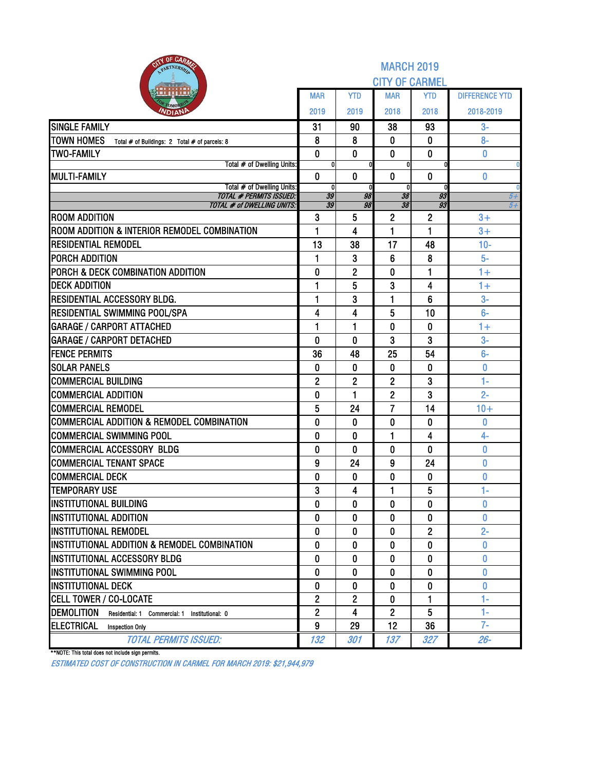| <b>NTY OF CARA</b><br>PARTNERSH                                    | <b>MARCH 2019</b><br><b>CITY OF CARMEL</b> |                |                    |                |                       |  |  |  |  |  |  |
|--------------------------------------------------------------------|--------------------------------------------|----------------|--------------------|----------------|-----------------------|--|--|--|--|--|--|
|                                                                    | <b>MAR</b>                                 | <b>YTD</b>     | <b>MAR</b>         | <b>YTD</b>     | <b>DIFFERENCE YTD</b> |  |  |  |  |  |  |
| <i><b>NDIAN</b></i>                                                | 2019                                       | 2019           | 2018               | 2018           | 2018-2019             |  |  |  |  |  |  |
| <b>SINGLE FAMILY</b>                                               | 31                                         | 90             | 38                 | 93             | $3-$                  |  |  |  |  |  |  |
| <b>TOWN HOMES</b><br>Total # of Buildings: 2 Total # of parcels: 8 | 8                                          | 8              | 0                  | 0              | $8-$                  |  |  |  |  |  |  |
| <b>TWO-FAMILY</b>                                                  | 0                                          | 0              | 0                  | 0              | 0                     |  |  |  |  |  |  |
| Total # of Dwelling Units:                                         | 0                                          |                | 0                  |                |                       |  |  |  |  |  |  |
| <b>MULTI-FAMILY</b>                                                | $\mathbf{0}$                               | $\mathbf{0}$   | 0                  | $\bf{0}$       | 0                     |  |  |  |  |  |  |
| Total # of Dwelling Units:<br><b>TOTAL # PERMITS ISSUED:</b>       | 0<br>39                                    | 98             | $\mathbf{0}$<br>38 | 93             | $5+$                  |  |  |  |  |  |  |
| <b>TOTAL # of DWELLING UNITS:</b>                                  | 39                                         | 98             | 38                 | 93             | $5+$                  |  |  |  |  |  |  |
| <b>ROOM ADDITION</b>                                               | 3                                          | 5              | 2                  | $\mathbf{2}$   | $3+$                  |  |  |  |  |  |  |
| ROOM ADDITION & INTERIOR REMODEL COMBINATION                       | 1                                          | 4              | 1                  | 1              | $3+$                  |  |  |  |  |  |  |
| <b>RESIDENTIAL REMODEL</b>                                         | 13                                         | 38             | 17                 | 48             | $10-$                 |  |  |  |  |  |  |
| <b>PORCH ADDITION</b>                                              | 1                                          | 3              | 6                  | 8              | $5-$                  |  |  |  |  |  |  |
| PORCH & DECK COMBINATION ADDITION                                  | 0                                          | $\mathbf{2}$   | 0                  | 1              | $1+$                  |  |  |  |  |  |  |
| <b>DECK ADDITION</b>                                               | 1                                          | 5              | 3                  | 4              | $1+$                  |  |  |  |  |  |  |
| <b>RESIDENTIAL ACCESSORY BLDG.</b>                                 | $\mathbf{1}$                               | 3              | 1                  | 6              | $3-$                  |  |  |  |  |  |  |
| RESIDENTIAL SWIMMING POOL/SPA                                      | 4                                          | 4              | 5                  | 10             | $6-$                  |  |  |  |  |  |  |
| <b>GARAGE / CARPORT ATTACHED</b>                                   | $\mathbf{1}$                               | 1              | 0                  | 0              | $1+$                  |  |  |  |  |  |  |
| <b>GARAGE / CARPORT DETACHED</b>                                   | 0                                          | $\mathbf{0}$   | 3                  | 3              | $3-$                  |  |  |  |  |  |  |
| <b>FENCE PERMITS</b>                                               | 36                                         | 48             | 25                 | 54             | $6-$                  |  |  |  |  |  |  |
| <b>SOLAR PANELS</b>                                                | $\bf{0}$                                   | 0              | 0                  | $\bf{0}$       | 0                     |  |  |  |  |  |  |
| <b>COMMERCIAL BUILDING</b>                                         | $\overline{2}$                             | $\overline{2}$ | $\overline{2}$     | 3              | $1 -$                 |  |  |  |  |  |  |
| <b>COMMERCIAL ADDITION</b>                                         | 0                                          | 1              | $\overline{2}$     | 3              | $2 -$                 |  |  |  |  |  |  |
| <b>COMMERCIAL REMODEL</b>                                          | 5                                          | 24             | 7                  | 14             | $10+$                 |  |  |  |  |  |  |
| COMMERCIAL ADDITION & REMODEL COMBINATION                          | 0                                          | 0              | 0                  | 0              | 0                     |  |  |  |  |  |  |
| <b>COMMERCIAL SWIMMING POOL</b>                                    | 0                                          | 0              | 1                  | 4              | $4-$                  |  |  |  |  |  |  |
| <b>COMMERCIAL ACCESSORY BLDG</b>                                   | $\mathbf{0}$                               | 0              | 0                  | $\mathbf{0}$   | $\bf{0}$              |  |  |  |  |  |  |
| <b>COMMERCIAL TENANT SPACE</b>                                     | 9                                          | 24             | 9                  | 24             | 0                     |  |  |  |  |  |  |
| <b>COMMERCIAL DECK</b>                                             | 0                                          | 0              | 0                  | 0              | 0                     |  |  |  |  |  |  |
| <b>TEMPORARY USE</b>                                               | 3                                          | 4              | 1                  | 5              | 1-                    |  |  |  |  |  |  |
| <b>INSTITUTIONAL BUILDING</b>                                      | $\mathbf{0}$                               | 0              | 0                  | $\mathbf{0}$   | 0                     |  |  |  |  |  |  |
| <b>INSTITUTIONAL ADDITION</b>                                      | 0                                          | 0              | 0                  | 0              | 0                     |  |  |  |  |  |  |
| <b>INSTITUTIONAL REMODEL</b>                                       | $\mathbf{0}$                               | 0              | 0                  | $\overline{2}$ | $2 -$                 |  |  |  |  |  |  |
| INSTITUTIONAL ADDITION & REMODEL COMBINATION                       | $\bf{0}$                                   | 0              | 0                  | 0              | 0                     |  |  |  |  |  |  |
| INSTITUTIONAL ACCESSORY BLDG                                       | 0                                          | 0              | 0                  | 0              | 0                     |  |  |  |  |  |  |
| INSTITUTIONAL SWIMMING POOL                                        | 0                                          | 0              | 0                  | $\bf{0}$       | 0                     |  |  |  |  |  |  |
| <b>INSTITUTIONAL DECK</b>                                          | $\bf{0}$                                   | $\bf{0}$       | 0                  | 0              | 0                     |  |  |  |  |  |  |
| <b>CELL TOWER / CO-LOCATE</b>                                      | $\mathbf{2}$                               | $\mathbf{2}$   | 0                  | 1              | 1-                    |  |  |  |  |  |  |
| <b>DEMOLITION</b><br>Residential: 1 Commercial: 1 Institutional: 0 | $\overline{2}$                             | 4              | $\overline{c}$     | 5              | 1-<br>$7-$            |  |  |  |  |  |  |
| <b>ELECTRICAL</b><br><b>Inspection Only</b>                        | 9                                          | 29             | 12                 | 36             |                       |  |  |  |  |  |  |
| <b>TOTAL PERMITS ISSUED:</b>                                       | 132                                        | 301            | 137                | 327            | $26 -$                |  |  |  |  |  |  |

\*\*NOTE: This total does not include sign permits.

ESTIMATED COST OF CONSTRUCTION IN CARMEL FOR MARCH 2019: \$21,944,979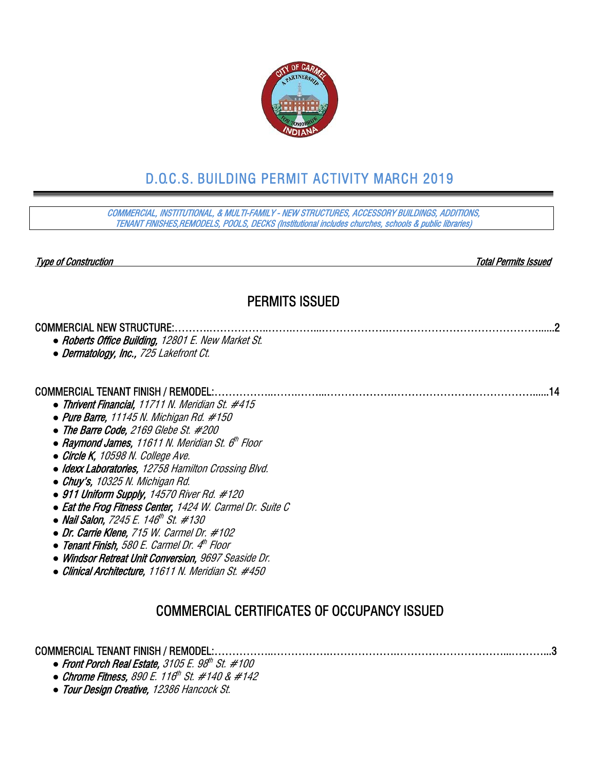

# D.O.C.S. BUILDING PERMIT ACTIVITY MARCH 2019

COMMERCIAL, INSTITUTIONAL, & MULTI-FAMILY - NEW STRUCTURES, ACCESSORY BUILDINGS, ADDITIONS, TENANT FINISHES,REMODELS, POOLS, DECKS (Institutional includes churches, schools & public libraries)

Type of Construction Total Permits Issued

# PERMITS ISSUED

### COMMERCIAL NEW STRUCTURE:……….……………..…….……...……………….……………………………………......2

- *●* Roberts Office Building, 12801 E. New Market St.
- *●* Dermatology, Inc., 725 Lakefront Ct.

#### COMMERCIAL TENANT FINISH / REMODEL:……………..…….……...……………….…………………………………......14

- *●* Thrivent Financial, 11711 N. Meridian St. #415
- *●* Pure Barre, 11145 N. Michigan Rd. #150
- *●* The Barre Code, 2169 Glebe St. #200
- *Raymond James, 11611 N. Meridian St. 6<sup>th</sup> Floor*
- *●* Circle K, 10598 N. College Ave.
- *●* Idexx Laboratories, 12758 Hamilton Crossing Blvd.
- *●* Chuy's, 10325 N. Michigan Rd.
- *●* 911 Uniform Supply, 14570 River Rd. #120
- *●* Eat the Frog Fitness Center, 1424 W. Carmel Dr. Suite C
- **Nail Salon, 7245 E. 146<sup>th</sup> St. #130**
- *●* Dr. Carrie Klene, 715 W. Carmel Dr. #102
- *●* Tenant Finish, 580 E. Carmel Dr. 4th Floor
- *●* Windsor Retreat Unit Conversion, 9697 Seaside Dr.
- *●* Clinical Architecture, 11611 N. Meridian St. #450

# COMMERCIAL CERTIFICATES OF OCCUPANCY ISSUED

## COMMERCIAL TENANT FINISH / REMODEL:……………..…………….……………….…………………………...………...3

- Front Porch Real Estate, 3105 E. 98<sup>th</sup> St. #100
- *●* Chrome Fitness, 890 E. 116th St. #140 & #142
- *●* Tour Design Creative, 12386 Hancock St.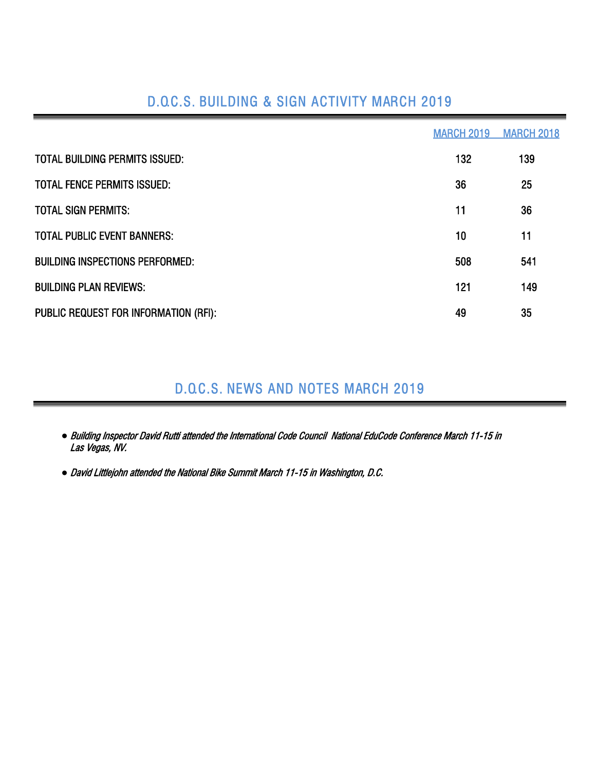| D.Q.C.S. BUILDING & SIGN ACTIVITY MARCH 2019 |  |
|----------------------------------------------|--|
|----------------------------------------------|--|

|                                        | <b>MARCH 2019</b> | <b>MARCH 2018</b> |
|----------------------------------------|-------------------|-------------------|
| <b>TOTAL BUILDING PERMITS ISSUED:</b>  | 132               | 139               |
| <b>TOTAL FENCE PERMITS ISSUED:</b>     | 36                | 25                |
| <b>TOTAL SIGN PERMITS:</b>             | 11                | 36                |
| <b>TOTAL PUBLIC EVENT BANNERS:</b>     | 10                | 11                |
| <b>BUILDING INSPECTIONS PERFORMED:</b> | 508               | 541               |
| <b>BUILDING PLAN REVIEWS:</b>          | 121               | 149               |
| PUBLIC REQUEST FOR INFORMATION (RFI):  | 49                | 35                |

# D.O.C.S. NEWS AND NOTES MARCH 2019

- *●* Building Inspector David Rutti attended the International Code Council National EduCode Conference March 11-15 in Las Vegas, NV.
- *●* David Littlejohn attended the National Bike Summit March 11-15 in Washington, D.C.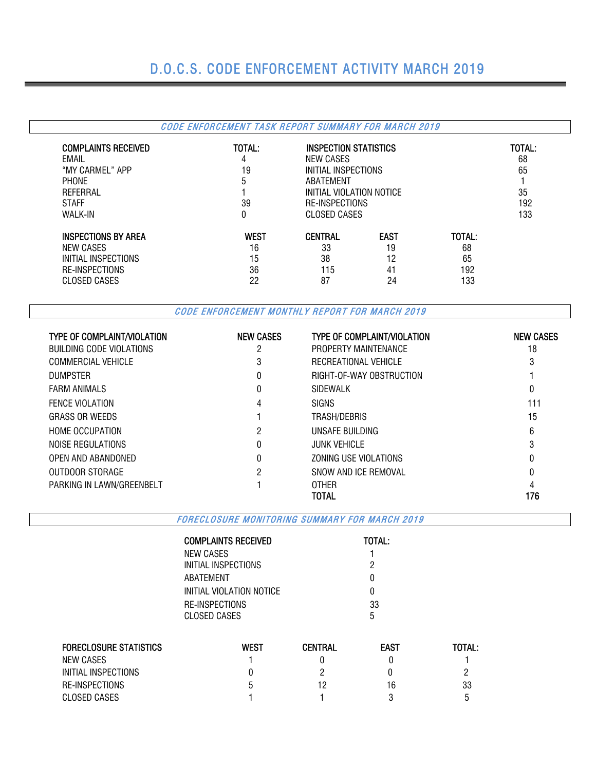# D.O.C.S. CODE ENFORCEMENT ACTIVITY MARCH 2019

## CODE ENFORCEMENT TASK REPORT SUMMARY FOR MARCH 2019

| <b>COMPLAINTS RECEIVED</b><br>EMAIL<br>"MY CARMEL" APP<br><b>PHONE</b><br>REFERRAL<br><b>STAFF</b><br><b>WALK-IN</b> | TOTAL:<br>4<br>19<br>5<br>39<br>0 | NEW CASES<br>ABATFMFNT | <b>INSPECTION STATISTICS</b><br>INITIAL INSPECTIONS<br>INITIAL VIOLATION NOTICE<br>RE-INSPECTIONS<br><b>CLOSED CASES</b> |        |  |  |  |  |  |
|----------------------------------------------------------------------------------------------------------------------|-----------------------------------|------------------------|--------------------------------------------------------------------------------------------------------------------------|--------|--|--|--|--|--|
| <b>INSPECTIONS BY AREA</b>                                                                                           | <b>WEST</b>                       | <b>CENTRAL</b>         | <b>EAST</b>                                                                                                              | TOTAL: |  |  |  |  |  |
| NEW CASES                                                                                                            | 16                                | 33                     | 19                                                                                                                       | 68     |  |  |  |  |  |
| INITIAL INSPECTIONS                                                                                                  | 15                                | 38                     | 12                                                                                                                       | 65     |  |  |  |  |  |
| RE-INSPECTIONS                                                                                                       | 36                                | 115                    | 192                                                                                                                      |        |  |  |  |  |  |
| CLOSED CASES                                                                                                         | 22                                | 87                     | 24                                                                                                                       | 133    |  |  |  |  |  |

CODE ENFORCEMENT MONTHLY REPORT FOR MARCH 2019

| <b>TYPE OF COMPLAINT/VIOLATION</b> | <b>NEW CASES</b> | <b>TYPE OF COMPLAINT/VIOLATION</b> | <b>NEW CASES</b> |
|------------------------------------|------------------|------------------------------------|------------------|
| <b>BUILDING CODE VIOLATIONS</b>    | 2                | PROPERTY MAINTENANCE               | 18               |
| <b>COMMERCIAL VEHICLE</b>          | 3                | RECREATIONAL VEHICLE               | 3                |
| <b>DUMPSTER</b>                    | 0                | RIGHT-OF-WAY OBSTRUCTION           |                  |
| <b>FARM ANIMALS</b>                | 0                | SIDEWALK                           | 0                |
| <b>FENCE VIOLATION</b>             | 4                | <b>SIGNS</b>                       | 111              |
| <b>GRASS OR WEEDS</b>              |                  | TRASH/DEBRIS                       | 15               |
| <b>HOME OCCUPATION</b>             | 2                | UNSAFE BUILDING                    | 6                |
| NOISE REGULATIONS                  | 0                | <b>JUNK VEHICLE</b>                |                  |
| OPEN AND ABANDONED                 | 0                | ZONING USE VIOLATIONS              |                  |
| OUTDOOR STORAGE                    | 2                | SNOW AND ICE REMOVAL               |                  |
| PARKING IN LAWN/GREENBELT          |                  | <b>OTHER</b>                       |                  |
|                                    |                  | TOTAL                              | 176              |

FORECLOSURE MONITORING SUMMARY FOR MARCH 2019

| COMPLAINTS RECEIVED            | <b>TOTAL:</b> |
|--------------------------------|---------------|
| NEW CASES                      |               |
| INITIAL INSPECTIONS            | 2             |
| ABATEMENT                      | 0             |
| INITIAL VIOLATION NOTICE       | N             |
| RE-INSPECTIONS<br>CLOSED CASES | 33<br>5       |
|                                |               |

| <b>FORECLOSURE STATISTICS</b> | WEST | CENTRAL | <b>EAST</b> | <b>TOTAL:</b> |
|-------------------------------|------|---------|-------------|---------------|
| NEW CASES                     |      |         |             |               |
| INITIAL INSPECTIONS           |      |         |             |               |
| RE-INSPECTIONS                | b    |         | 16          | 33            |
| CLOSED CASES                  |      |         |             | b             |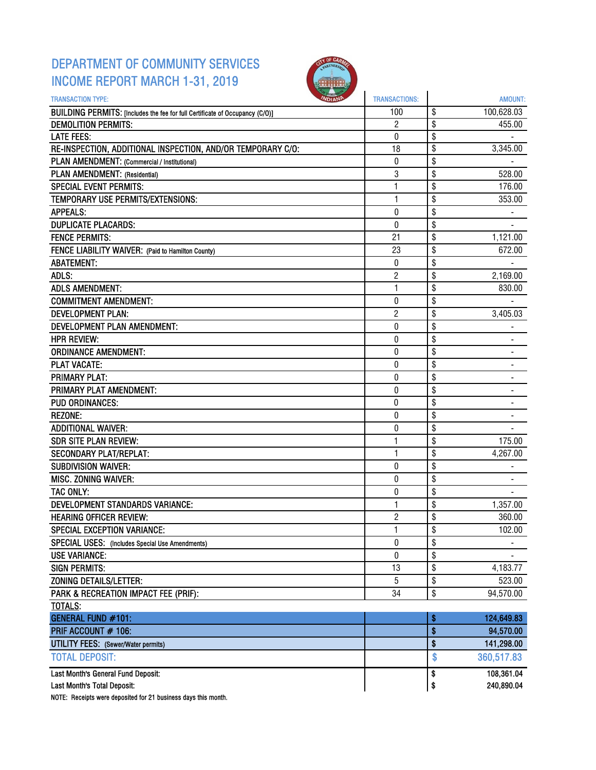# DEPARTMENT OF COMMUNITY SERVICES INCOME REPORT MARCH 1-31, 2019



| <b>TRANSACTION TYPE:</b>                                                     | <b>TRANSACTIONS:</b> |                 | <b>AMOUNT:</b> |
|------------------------------------------------------------------------------|----------------------|-----------------|----------------|
| BUILDING PERMITS: [Includes the fee for full Certificate of Occupancy (C/O)] | 100                  | \$              | 100,628.03     |
| <b>DEMOLITION PERMITS:</b>                                                   | $\overline{2}$       | $\overline{\$}$ | 455.00         |
| <b>LATE FEES:</b>                                                            | 0                    | \$              |                |
| RE-INSPECTION, ADDITIONAL INSPECTION, AND/OR TEMPORARY C/O:                  | 18                   | \$              | 3,345.00       |
| PLAN AMENDMENT: (Commercial / Institutional)                                 | 0                    | \$              |                |
| PLAN AMENDMENT: (Residential)                                                | 3                    | \$              | 528.00         |
| <b>SPECIAL EVENT PERMITS:</b>                                                | 1                    | \$              | 176.00         |
| TEMPORARY USE PERMITS/EXTENSIONS:                                            | 1                    | \$              | 353.00         |
| <b>APPEALS:</b>                                                              | 0                    | \$              |                |
| <b>DUPLICATE PLACARDS:</b>                                                   | $\boldsymbol{0}$     | \$              |                |
| <b>FENCE PERMITS:</b>                                                        | 21                   | \$              | 1,121.00       |
| FENCE LIABILITY WAIVER: (Paid to Hamilton County)                            | 23                   | \$              | 672.00         |
| <b>ABATEMENT:</b>                                                            | 0                    | \$              |                |
| ADLS:                                                                        | 2                    | \$              | 2,169.00       |
| <b>ADLS AMENDMENT:</b>                                                       | 1                    | \$              | 830.00         |
| <b>COMMITMENT AMENDMENT:</b>                                                 | $\pmb{0}$            | \$              |                |
| <b>DEVELOPMENT PLAN:</b>                                                     | 2                    | \$              | 3,405.03       |
| DEVELOPMENT PLAN AMENDMENT:                                                  | 0                    | \$              |                |
| <b>HPR REVIEW:</b>                                                           | 0                    | \$              |                |
| <b>ORDINANCE AMENDMENT:</b>                                                  | $\pmb{0}$            | \$              | $\blacksquare$ |
| <b>PLAT VACATE:</b>                                                          | 0                    | \$              |                |
| <b>PRIMARY PLAT:</b>                                                         | 0                    | \$              |                |
| PRIMARY PLAT AMENDMENT:                                                      | $\mathbf 0$          | \$              |                |
| <b>PUD ORDINANCES:</b>                                                       | 0                    | \$              |                |
| <b>REZONE:</b>                                                               | 0                    | \$              |                |
| <b>ADDITIONAL WAIVER:</b>                                                    | $\pmb{0}$            | \$              |                |
| <b>SDR SITE PLAN REVIEW:</b>                                                 | 1                    | \$              | 175.00         |
| <b>SECONDARY PLAT/REPLAT:</b>                                                | 1                    | \$              | 4,267.00       |
| <b>SUBDIVISION WAIVER:</b>                                                   | 0                    | \$              |                |
| <b>MISC. ZONING WAIVER:</b>                                                  | 0                    | \$              |                |
| <b>TAC ONLY:</b>                                                             | $\pmb{0}$            | \$              |                |
| <b>DEVELOPMENT STANDARDS VARIANCE:</b>                                       | 1                    | \$              | 1,357.00       |
| <b>HEARING OFFICER REVIEW:</b>                                               | $\overline{c}$       | \$              | 360.00         |
| <b>SPECIAL EXCEPTION VARIANCE:</b>                                           | 1                    | \$              | 102.00         |
| SPECIAL USES: (Includes Special Use Amendments)                              | 0                    | \$              |                |
| <b>USE VARIANCE:</b>                                                         | 0                    | \$              |                |
| <b>SIGN PERMITS:</b>                                                         | 13                   | \$              | 4,183.77       |
| ZONING DETAILS/LETTER:                                                       | 5                    | \$              | 523.00         |
| PARK & RECREATION IMPACT FEE (PRIF):                                         | 34                   | \$              | 94,570.00      |
| <b>TOTALS:</b>                                                               |                      |                 |                |
| <b>GENERAL FUND #101:</b>                                                    |                      | \$              | 124,649.83     |
| PRIF ACCOUNT # 106:                                                          |                      | \$              | 94,570.00      |
| <b>UTILITY FEES:</b> (Sewer/Water permits)                                   |                      | \$              | 141,298.00     |
| <b>TOTAL DEPOSIT:</b>                                                        |                      | \$              | 360,517.83     |
| Last Month's General Fund Deposit:                                           |                      | \$              | 108,361.04     |
| Last Month's Total Deposit:                                                  |                      | \$              | 240,890.04     |

NOTE: Receipts were deposited for 21 business days this month.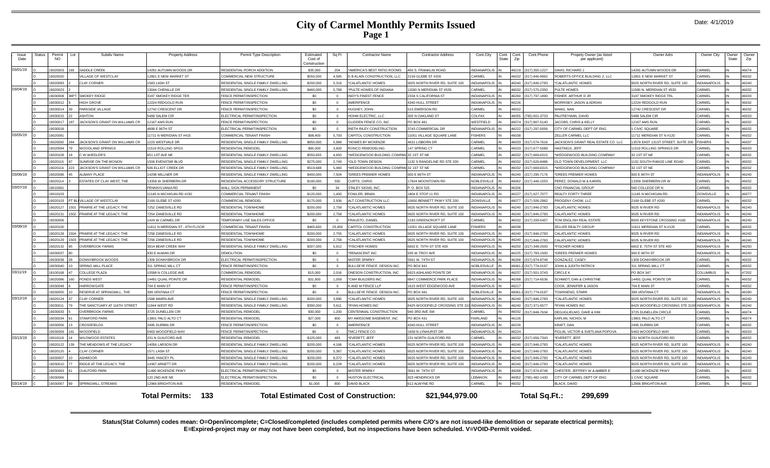### **City of Carmel Monthly Permits Issued Page 1**

| Issue<br>Date | Status | Permit<br><b>NO</b> | Lot | Subdiv Name                    | <b>Property Address</b>         | Permit Type Description                  | Estimated<br>Cost of<br>Constructior | Sq Ft    | <b>Contractor Name</b>                       | <b>Contractor Address</b>      | Cont.City           | Cont.<br>State | Cont.<br>Cont.Phone<br>Zip     | Propety Owner (as listed<br>per applicant) | Owner Adrs                         | Owner City          | Owner<br>State | Owner<br>Zip |
|---------------|--------|---------------------|-----|--------------------------------|---------------------------------|------------------------------------------|--------------------------------------|----------|----------------------------------------------|--------------------------------|---------------------|----------------|--------------------------------|--------------------------------------------|------------------------------------|---------------------|----------------|--------------|
| 03/01/19      |        | 9020003             |     | SADDLE CREEK                   | 14291 AUTUMN WOODS DR           | RESIDENTIAL PORCH ADDITION               | \$35,000                             | 204      | AMERICA'S BEST PATIO ROOMS                   | <b>450 S. FRANKLIN ROAD</b>    | <b>INDIANAPOLIS</b> |                | (317) 355-1227<br>46219        | DAVIS, RICHARD J                           | 14291 AUTUMN WOODS DR              | CARMEL              |                | 46074        |
|               |        | 9020020             |     | VILLAGE OF WESTCLAY            | 12801 E NEW MARKET ST           | COMMERCIAL NEW STRUCTURE                 | \$550,000                            | 4.585    | <b>B KLAIN CONSTRUCTION, LLC</b>             | 159 GLEBE ST #200              | CARMEL              |                | 317) 846-9992<br>6032          | OBERTS OFFICE BUILDING 2. LLC              | 12801 E NEW MARKET ST              | <b>ARMEL</b>        |                | 46032        |
|               |        | 9020083             |     | <b>CLAY CORNER</b>             | 1583 LASH ST                    | RESIDENTIAL SINGLE FAMILY DWELLING       | \$200,000                            | 5.316    | CALATLANTIC HOMES                            | 025 NORTH RIVER RD, SUITE 100  | NDIANAPOLI:         |                | 16240<br>(317) 846-2783        | <b>CALATLANTIC HOMES</b>                   | 9025 NORTH RIVER RD, SUITE 100     | NDIANAPOLIS         |                | 46240        |
| 03/04/19      |        | 19020023            |     |                                | 13044 CHENILLE DR               | RESIDENTIAL SINGLE FAMILY DWELLING       | \$460,000                            | 5.789    | PULTE HOMES OF INDIANA                       | 1590 N MERIDIAN ST #530        | CARMEL              |                | (317) 575-2350<br><b>CENA1</b> | PULTE HOMES                                | 11590 N. MERIDIAN ST #530          | <b>ARMEI</b>        |                | 46032        |
|               |        | 19030008            |     | 38PT SMOKEY RIDGE              | 3187 SMOKEY RIDGE TER           | <b>ENCE PERMIT/INSPECTION</b>            | \$0                                  |          | <b>INDY'S FINEST FENCE</b>                   | 2334 S CALIFORNIA ST           | <b>NDIANAPOLIS</b>  |                | 16260<br>(317) 797-1890        | <b>FISHER, ARTHUR D JR</b>                 | 3187 SMOKEY RIDGE TRL              | CARMEL              |                | 46033        |
|               |        | 19030012            |     | <b>HIGH GROVE</b>              | 12224 REDGOLD RUN               | <b>ENCE PERMIT/INSPECTION</b>            | \$0                                  | $\Omega$ | <b>AMERIFENCE</b>                            | <b>4340 HULL STREET</b>        | <b>INDIANAPOLIS</b> |                | 16226                          | <b>MORRISEY, JASON &amp; ADRIAN</b>        | 12224 REDGOLD RUN                  | <b>CARMEL</b>       |                | 46032        |
|               |        | 9030014             |     | PARKSIDE VILLAGE               | 12742 CRESCENT DR               | <b>ENCE PERMIT/INSPECTION</b>            | \$0                                  | $\Omega$ | <b>IUGHEY, JOHN</b>                          | 15 EMERSON RD                  | CARMEL              |                | 6032                           | VANG, NAN                                  | 12742 CRESCENT DR                  | ARMFI               |                | 46032        |
|               |        | 19030015            |     | <b>ASHTON</b>                  | 5488 SALEM CIR                  | <b>LECTRICAL PERMIT/INSPECTION</b>       | \$0                                  | $\Omega$ | HOHM ELECTRIC, LLC                           | 305 N OAKLAND ST               | COLFAX              |                | 16055<br>765) 601-3733         | PALFREYMAN, DAVID                          | 5488 SALEM CIR                     | CARME               |                | 46033        |
|               |        | 19030017            |     | JACKSON'S GRANT ON WILLIAMS CR | <b>12167 AMS RUN</b>            | FENCE PERMIT/INSPECTION                  | \$0                                  | $\Omega$ | <b>SLIDDEN FENCE CO. INC</b>                 | PO BOX 481                     | <b>WESTFIFLD</b>    |                | (317) 867-5140<br>46074        | JACOBS, CHRIS & KELLY                      | 12167 AMS RUN                      | <b>ARMEL</b>        |                | 46032        |
|               |        | 19030018            |     |                                | 4699 E 96TH ST                  | <b>LECTRICAL PERMIT/INSPECTION</b>       | \$0                                  | $\Omega$ | RIETH RILEY CONSTRUCTION                     | 3743 COMMERCIAL DR             | <b>INDIANAPOLIS</b> |                | 46222<br>(317) 297-0056        | CITY OF CARMEL DEPT OF ENG                 | <b>I CIVIC SQUARE</b>              | CARMEI              | IN             | 46032        |
| 03/05/19      |        | 19020081            |     |                                | 11711 N MERIDIAN ST #415        | COMMERCIAL TENANT FINISH                 | \$98,400                             | 5.793    | <b>APITOL CONSTRUCTION</b>                   | 1051 VILLAGE SQUARE LANE       | <b>FISHERS</b>      |                | 82031                          | ELLER CARMEL LLC                           | 11711 MERIDIAN ST N #120           | ARMFI               |                | 46032        |
|               |        | 9020092             |     | JACKSON'S GRANT ON WILLIAMS CR | 1223 WESTVALE DR                | RESIDENTIAL SINGLE FAMILY DWELLING       | \$850,000                            | 5.988    | HOMES BY MCKENZIE                            | <b>4631 LISBORN DR</b>         | CARMEL              |                | (317) 574-7616<br>8033         | JACKSON'S GRANT REAL ESTATE CO. LLC        | 13578 EAST 131ST STREET, SUITE 200 | <b>ISHERS</b>       |                | 46037        |
|               |        | 902009              |     | WOODLAND SPRINGS               | 11519 ROLLING SPGS              | RESIDENTIAL REMODEL                      | \$90,000                             | 3.600    | <b>CONCO REMODELING</b>                      | 147 SPRING CT                  | CARMEL              |                | <b>22084</b><br>(317) 677-5089 | <b>HASTINGS JEFF</b>                       | 11519 ROLLING SPRINGS DR           | CARMEL              |                | 46033        |
|               |        | 19020109            |     | C W WIEDLER'S                  | 651 1ST AVE NE                  | RESIDENTIAL SINGLE FAMILY DWELLING       | \$550,655                            | 4.650    | WEDGEWOOD BUILDING COMPA                     | 32 1ST ST NE                   | CARMEL              |                | <b>CENAI</b><br>317) 669-6315  | WEDGEWOOD BUILDING COMPANY                 | 32 1ST ST NE                       | <b>ARMEI</b>        |                | 46032        |
|               |        | 19020115            |     | SUNRISE ON THE MONON           | 1506 EVENSTAR BLVD              | RESIDENTIAL SINGLE FAMILY DWELLING       | \$275,000                            | 2,749    | OLD TOWN DESIGN                              | 132 S RANGELINE RD STE 200     | CARMEL              |                | (317) 626-8486<br>16032        | OLD TOWN DEVELOPMENT. LLC                  | 1132 SOUTH RANGE LINE ROAD         | <b>ARMEI</b>        |                | 46032        |
|               |        | 9020116             |     | JACKSON'S GRANT ON WILLIAMS CR | 506 ELLIOT CREEK DR             | RESIDENTIAL SINGLE FAMILY DWELLING       | \$519,688                            | 5.480    | WEDGEWOOD BUILDING COMPAN                    | <b>32 1ST ST NE</b>            | CARMEL              |                | (317) 669-6315<br>16032        | WEDGEWOOD BUILDING COMPANY                 | 32 1ST ST NE                       | ARMEL               |                | 46032        |
| 03/06/19      |        | 9020096             |     | <b>ALBANY PLACE</b>            | 4298 MILLNER DR                 | RESIDENTIAL SINGLE FAMILY DWELLING       | \$400,000                            | 7.504    | DREES PREMIER HOMES                          | 00 E 96TH ST                   | INDIANAPOLI:        |                | 317) 295-7176<br>6240          | DREES PREMIER HOMES                        | 900 E 96TH ST                      | <b>INDIANAPOLIS</b> |                | 46240        |
|               |        | 1902011             |     | ESTATES OF CLAY WEST. THE      | 13358 W SHERBERN DF             | RESIDENTIAL ACCESSORY STRUCTURE          | \$190,000                            | 550      | CURTS, CHRIS                                 | 17824 MOONTOWN RD              | NORLESVILLE         |                | 317) 446-1553<br>46062         | PEREZ. DONALD M & KAREN                    | 13358 SHERBERN DR W                | CARMEI              |                | 46032        |
| 03/07/19      |        | 19010081            |     |                                | PENNSYLVANIA RD                 | <b>WALL SIGN PERMANENT</b>               | \$0                                  | 34       | STALEY SIGNS, INC                            | P.O. BOX 515                   | <b>INDIANAPOLIS</b> |                | 46206                          | CNO FINANCIAL GROUP                        | 560 COLLEGE DR N                   | <b>CARMEL</b>       |                | 46032        |
|               |        | 19010103            |     |                                | 11145 N MICHIGAN RD #150        | COMMERCIAL TENANT FINISH                 | \$120,000                            | 1,400    | OWLER, BRIAN                                 | 1804 E STOP 11 RD              | <b>INDIANAPOLIS</b> |                | (317) 627-7077<br>46227        | <b>REALTY FORTY THREE</b>                  | 11145 N MICHIGAN RD                | <b>ZIONSVILLE</b>   |                | 46077        |
|               |        | 9020103             |     | T BLI VILLAGE OF WESTCLAY      | 2169 GLEBE ST #200              | OMMERCIAL REMODE                         | \$175,000                            | 2.936    | LT CONSTRUCTION LLC                          | 10650 BENNETT PKWY STE 200     | <b>ZIONSVILLE</b>   |                | 16077<br>317) 506-2962         | ROGENY CHOW, LLC                           | 2169 GLEBE ST #200                 | <b>CARMEL</b>       |                | 46032        |
|               |        | 9020127             |     | PRAIRIE AT THE LEGACY, THE     | 7252 ZANESVILLE RD              | RESIDENTIAL TOWNHOME                     | \$200,000                            | 2,758    | CALATLANTIC HOMES                            | 025 NORTH RIVER RD, SUITE 100  | <b>INDIANAPOLIS</b> |                | 16240<br>(317) 846-2783        | CALATLANTIC HOMES                          | 9025 N RIVER RD                    | <b>NDIANAPOLIS</b>  |                | 46240        |
|               |        | 1902013             |     | PRAIRIE AT THE LEGACY, THE     | 7254 ZANESVILLE RD              | RESIDENTIAL TOWNHOME                     | \$200,000                            | 2,758    | CALATLANTIC HOMES                            | 9025 NORTH RIVER RD, SUITE 100 | NDIANAPOLIS         |                | (317) 846-2783<br>46240        | <b>ALATLANTIC HOMES</b>                    | 9025 N RIVER RD                    | <b>NDIANAPOLIS</b>  |                | 46240        |
|               |        | 19030006            |     |                                | 1424 W CARMEL DR                | <b><i>TEMPORARY USE SALES OFFICE</i></b> | \$0                                  | $\Omega$ | FRAUSTO, DANIEL                              | 2183 GREENCROFT ST             | CARMEL              |                | 46032<br>(317) 209-5457        | TOM ENGLISH REAL ESTATE                    | 8500 KEYSTONE CROSSING #160        | <b>INDIANAPOLIS</b> |                | 46240        |
| 03/08/19      |        | 9020100             |     |                                | 11611 N MERIDIAN ST - 6TH FLOOR | COMMERCIAL TENANT FINISH                 | \$465,600                            | 23.459   | APITOL CONSTRUCTION                          | 1051 VILLAGE SQUARE LANE       | <b>ISHERS</b>       |                | 82038                          | ZELLER REALTY GROUP                        | 11611 MERIDIAN ST N #120           | ARMEL               |                | 46032        |
|               |        | 9020128             |     | PRAIRIE AT THE LEGACY. THE     | 7258 ZANESVILLE RD              | RESIDENTIAL TOWNHOME                     | \$200,000                            | 2.755    | CALATLANTIC HOMES                            | 025 NORTH RIVER RD, SUITE 100  | NDIANAPOLI:         |                | 16240<br>(317) 846-2783        | CALATLANTIC HOMES                          | 9025 N RIVER RD                    | <b>NDIANAPOLIS</b>  |                | 46240        |
|               |        | 9020129             |     | PRAIRIE AT THE LEGACY. THE     | 7256 ZANESVILLE RD              | RESIDENTIAL TOWNHOME                     | \$200,000                            | 2.758    | CALATLANTIC HOMES                            | 9025 NORTH RIVER RD, SUITE 100 | <b>INDIANAPOLIS</b> |                | (317) 846-2783<br>16240        | CALATLANTIC HOMES                          | 9025 N RIVER RD                    | NDIANAPOLIS         |                | 46240        |
|               |        | 19020132            |     | <b>OVERBROOK FARMS</b>         | 3914 BEAR CREEK WAY             | RESIDENTIAL SINGLE FAMILY DWELLING       | \$307,000                            | 5.912    | <b>FISCHER HOMES</b>                         | 6602 E. 75TH ST STE 400        | <b>INDIANAPOLIS</b> |                | 46250<br>(317) 348-2500        | <b>FISCHER HOMES</b>                       | 6602 E. 75TH ST STE 400            | <b>NDIANAPOLIS</b>  |                | 46250        |
|               |        | 19030037            |     |                                | 930 E AUMAN DR                  | DEMOLITION                               | \$0                                  |          | <b>RENASCENT INC</b>                         | 935 W TROY AVE                 | <b>NDIANAPOLIS</b>  |                | 16225<br>(317) 783-1500        | DREES PREMIER HOMES                        | 900 E 96TH ST                      | <b>NDIANAPOLIS</b>  |                | 46240        |
|               |        | 19030038            |     | DONNYBROOK WOODS               | 1309 DONNYBROOK DR              | ELECTRICAL PERMIT/INSPECTION             | \$0                                  | $\Omega$ | <b><i>INSTER SPARKY</i></b>                  | 5561 W. 74TH ST                | <b>INDIANAPOLIS</b> |                | (317) 874-8748<br>82681        | <b>GONZALEZ, CASEY</b>                     | 1309 DONNYBROOK DR                 | ARMEL               |                | 46032        |
|               |        | 9030040             |     | <b>SPRING MILL PLACE</b>       | 311 SPRING MILL CT              | <b>ENCE PERMIT/INSPECTION</b>            | \$0                                  |          | BULLSEYE FENCE DESIGN INC                    | PO BOX 941                     | NOBLESVILLE         |                | 16061-0 (317) 774-0197         | OHN & JUDITH PATRICH                       | 311 SPRING MILL CT                 | <b>ARMEI</b>        |                | 46032        |
| 03/11/19      |        | 18100168            |     | <b>COLLEGE PLAZA</b>           | 10598 N COLLEGE AVE             | COMMERCIAL REMODEL                       | \$15,000                             | 2.016    | ONESON CONSTRUCTION, INC.                    | <b>6923 ASHLAND POINTE DR</b>  | <b>INDIANAPOLIS</b> |                | 46237<br>(317) 501-3743        | <b>IRCLEK</b>                              | <b>PO BOX 347</b>                  | COLLIMBUS           |                | 47202        |
|               |        | 19020086            |     | PONDS WEST                     | 14491 QUAIL POINTE DR           | RESIDENTIAL REMODEL                      | \$31,800                             | 1.059    | <b>CMH BUILDERS INC</b>                      | 8847 COMMERCE PARK PLACE       | <b>INDIANAPOLIS</b> |                | 46268<br>(317) 714-6536        | <b>SCHMIDT, DAN &amp; CHRISTINE</b>        | 14491 QUAIL POINTE DR              | CARMEL              |                | 46032        |
|               |        | 9030048             |     | <b>HARROWGATE</b>              | 704 E MAIN ST                   | <b>ENCE PERMIT/INSPECTION</b>            | \$0                                  | $\Omega$ | <b>(AND M FENCE LLP</b>                      | 1615 WEST EDGEWOOD AVE         | <b>NDIANAPOLIS</b>  |                | 16217                          | COOK, JENNIFER & JASON                     | 704 E MAIN ST                      | <b>ARMEL</b>        |                | 46032        |
|               |        | 9030055             |     | RESERVE AT SPRINGMILL. THE     | 399 VENTANA CT                  | <b>ENCE PERMIT/INSPECTION</b>            | \$0                                  | $\Omega$ | BULLSEYE FENCE DESIGN INC.                   | PO BOX 941                     | NOBLESVILLE         |                | 16061-0 (317) 774-0197         | OWNSEND, STARR                             | <b>399 VENTANA CT</b>              | NDIANAPOLIS         |                | 46290        |
| 03/12/19      |        | 9020124             |     | <b>CLAY CORNER</b>             | 1568 MAIRN AVE                  | RESIDENTIAL SINGLE FAMILY DWELLING       | \$200,000                            | 3.990    | 'CALATLANTIC HOMES                           | 025 NORTH RIVER RD, SUITE 100  | <b>NDIANAPOLIS</b>  |                | 16240<br>(317) 846-2783        | <b>CALATLANTIC HOMES</b>                   | 9025 NORTH RIVER RD, SUITE 100     | <b>NDIANAPOLIS</b>  |                | 46240        |
|               |        | 9030011             |     | THE SANCTUARY AT 116TH STREET  | 11944 WEST RD                   | RESIDENTIAL SINGLE FAMILY DWELLING       | \$390,000                            | 5.611    | RYAN HOMES INC                               | 8425 WOODFIELD CROSSING STE 31 | <b>INDIANAPOLIS</b> |                | (317) 371-6577<br>46240        | <b>RYAN HOMES INC</b>                      | 8425 WOODFIELD CROSSING STE 31     | INDIANAPOLIS        |                | 46240        |
|               |        | 19030033            |     | <b>OVERBROOK FARMS</b>         | 3725 DUNELLEN CIR               | RESIDENTIAL REMODEL                      | \$30,000                             | 1,200    | CENTENNIAL CONSTRUCTION                      | 940 3RD AVE SW                 | CARMEL              |                | 317) 848-7634<br>46032         | DEGUGLIELMO, DAVE & KIM                    | 3725 DUNELLEN CIRCLI               | CARMEL              |                | 46074        |
|               |        | 9030034             |     | STANFORD PARK                  | 13801 PALO ALTO CT              | RESIDENTIAL REMODEL                      | \$27,000                             | 800      | MY AWESOME BASEMENT. INC                     | PO BOX 431                     | FAIRI AND           |                | 46126                          | KAPLAN, NICHOL M                           | 13801 PALO ALTO CT                 | <b>CARMEL</b>       |                | 46074        |
|               |        | 9030056             |     | <b>CROSSFIELDS</b>             | 2495 DURBIN DR                  | <b>ENCE PERMIT/INSPECTION</b>            | - \$0                                | $\Omega$ | <b>MERIFENCE</b>                             | 340 HULL STREET                | <b>INDIANAPOLIS</b> |                | 16226                          | <b>KRAFT, DAN</b>                          | 2495 DURBIN DR                     | <b>ARMEL</b>        |                | 46032        |
|               |        | 903005              |     | WOODFIELD                      | 5463 WOODFIELD WAY              | FENCE PERMIT/INSPECTION                  | \$0                                  | $\Omega$ | <b>TMCJ FENCE CO</b>                         | 1658 N I YNHURST DR            | <b>INDIANAPOLIS</b> |                | 46224                          | FIGLIN, VICTOR & SVETLANA POPOVA           | 5463 WOODFIFLD WAY                 | CARMEL              |                | 46033        |
| 03/13/19      |        | 9010118             |     | <b>WILDWOOD ESTATES</b>        | 231 N GUILFORD AVE              | <b>RESIDENTIAL REMODEL</b>               | \$125,000                            | 483      | EVERETT, JEFF                                | 231 NORTH GUILFORD RD          | CARMEL              |                | 46032 (317) 656-7343           | *EVERETT, JEFF                             | 231 NORTH GUILFORD RD              | CARMEL              |                | 46032        |
|               |        | 9020122             |     | THE MEADOWS AT THE LEGACY      | 14056 LARSON DR                 | RESIDENTIAL SINGLE FAMILY DWELLING       | \$200,000                            | 4.186    | CALATLANTIC HOMES                            | 025 NORTH RIVER RD, SUITE 100  | <b>NDIANAPOLIS</b>  |                | 46240<br>(317) 846-2783        | *CALATLANTIC HOMES                         | 9025 NORTH RIVER RD, SUITE 100     | <b>NDIANAPOLIS</b>  |                | 46240        |
|               |        | 19020125            |     | <b>CLAY CORNER</b>             | 1571 LASH ST                    | RESIDENTIAL SINGLE FAMILY DWELLING       | \$200,000                            | 5.387    | 'CALATLANTIC HOMES                           | 9025 NORTH RIVER RD, SUITE 100 | NDIANAPOLIS         |                | (317) 846-2783<br>16240        | 'CALATLANTIC HOMES                         | 9025 NORTH RIVER RD, SUITE 100     | <b>NDIANAPOLIS</b>  |                | 46240        |
|               |        | 9030007             |     | ASHMOOR                        | 3445 YANCEY PL                  | RESIDENTIAL SINGLE FAMILY DWELLING       | \$200,000                            | 8.372    | CALATLANTIC HOMES                            | 025 NORTH RIVER RD, SUITE 100  | <b>NDIANAPOLIS</b>  |                | (317) 846-2783<br>16240        | 'CALATLANTIC HOMES                         | 9025 NORTH RIVER RD, SUITE 100     | <b>INDIANAPOLIS</b> |                | 46240        |
|               |        | 903001              |     | RIDGE AT THE LEGACY. THE       | 14367 ARNETT DR                 | RESIDENTIAL SINGLE FAMILY DWELLING       | \$200,000                            | 6,228    | CALATLANTIC HOMES                            | 9025 NORTH RIVER RD, SUITE 100 | NDIANAPOLIS         |                | 46240<br>(317) 846-2783        | <b>CALATLANTIC HOMES</b>                   | 9025 NORTH RIVER RD, SUITE 100     | NDIANAPOLIS         |                | 46240        |
|               |        | 19030063            |     | <b>GUILFORD PARK</b>           | 11490 MCKENZIE PKWY             | ELECTRICAL PERMIT/INSPECTION             | \$0                                  | $\Omega$ | <b>IISTER SPARKY</b>                         | 5561 W. 74TH ST                | <b>INDIANAPOLIS</b> |                | 46268<br>317) 874-8748         | HESTER, JEFFREY W & AMBER E                | 1490 MCKENZIE PKWY                 | <b>CARMEL</b>       |                | 46032        |
|               |        | 9030066             |     |                                | 120 2ND AVE NE                  | ELECTRICAL PERMIT/INSPECTION             | \$0                                  | $\Omega$ | <b>IUSTON ELECTRICAL</b>                     | 823 HENDRICKS DR               | FRANON              |                | 16052<br>765) 482-1430         | CITY OF CARMEL DEPT OF ENG                 | <b>I CIVIC SQUARE</b>              | CARMEL              |                | 46032        |
| 03/14/19      |        | 9030067             |     | SPRINGMILL STREAMS             | 12966 BRIGHTON AVE              | RESIDENTIAL REMODEL                      | \$1,000                              | 800      | <b>AVID BLACK</b>                            | 612 ALWYNE RD                  | CARMEL              |                | 6032                           | <b>ACK. DAVID</b>                          | 12966 BRIGHTON AVE                 | <b>CARMEL</b>       |                | 46032        |
|               |        |                     |     |                                |                                 |                                          |                                      |          |                                              |                                |                     |                |                                |                                            |                                    |                     |                |              |
|               |        |                     |     |                                | - 133<br>Total Permits:         |                                          |                                      |          | <b>Total Estimated Cost of Construction:</b> | \$21,944,979.00                |                     |                | Total Sq.Ft.:                  | 299.699                                    |                                    |                     |                |              |

**Status(Stat Column) codes mean: O=Open/incomplete; C=Closed/completed (includes completed permits where C/O's are not issued-like demolition or separate electrical permits); E=Expired-project may or may not have been completed, but no inspections have been scheduled. V=VOID-Permit voided.**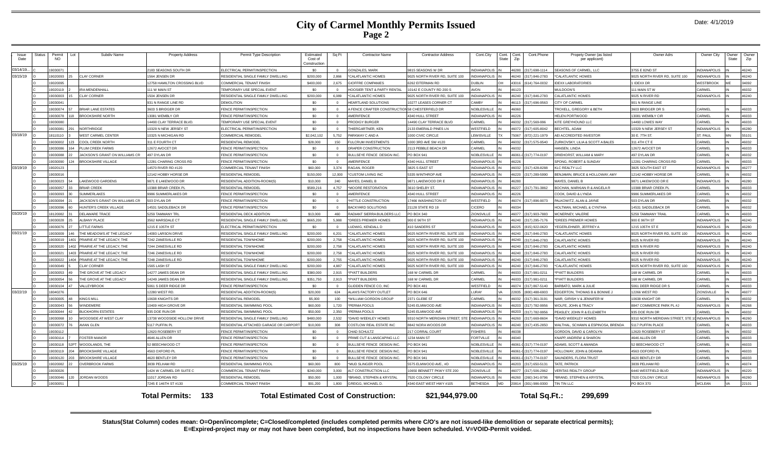### **City of Carmel Monthly Permits Issued Page 2**

| Date: 4/1/2019 |  |  |
|----------------|--|--|
|----------------|--|--|

| Issue<br>Date | Status | Permit<br>NO. | Subdiv Name<br>- ot                  | <b>Property Address</b>       | Permit Type Description                | Estimated<br>Cost of<br>Construction | Sq Ft          | Contractor Name                                 | <b>Contractor Address</b>       | Cont.City           | Cont.<br>State | Cont.Phone<br>Cont.<br>Zip | Propety Owner (as listed<br>per applicant) | Owner Adrs                        | Owner City          | Owner<br>State | Owner<br>Zip |
|---------------|--------|---------------|--------------------------------------|-------------------------------|----------------------------------------|--------------------------------------|----------------|-------------------------------------------------|---------------------------------|---------------------|----------------|----------------------------|--------------------------------------------|-----------------------------------|---------------------|----------------|--------------|
| 03/14/19.     |        | 1903007       |                                      | 183 SEASONS SOUTH DR          | ELECTRICAL PERMIT/INSPECTION           | -90                                  | $\Omega$       | <b>SONZALES, MARK</b>                           | 9815 SEASONS W DR               | <b>NDIANAPOLIS</b>  |                | 16280<br>(317) 698-1114    | SEASONS OF CARMEL, LLC                     | 3755 E 82ND ST                    | <b>INDIANAPOLIS</b> |                | 46240        |
| 03/15/19      |        | 19020093      | <b>LAY CORNER</b>                    | 1564 JENSEN DE                | RESIDENTIAL SINGLE FAMILY DWELLING     | \$200,000                            | 2.866          | CALATI ANTIC HOMES                              | 9025 NORTH RIVER RD, SUITE 100  | NDIANAPOLIS         |                | 46240 (317) 846-2783       | <b>CALATLANTIC HOMES</b>                   | 9025 NORTH RIVER RD, SUITE 100    | INDIANAPOLIS        |                | 46240        |
|               |        | 19020095      |                                      | 12758 HAMILTON CROSSING BLVD  | COMMERCIAL TENANT FINISH               | \$400,000                            | 2.675          | <b>GIOFFRE COMPANIES</b>                        | 6262 EITERMAN RD                | <b>DUBLIN</b>       | <b>OH</b>      | 43016<br>(614) 764-0032    | <b>DEXX LABORATORIES</b>                   | 1 IDEXX DR                        | <b>WESTBROOK</b>    |                | 04092        |
|               |        | 19020119      | <b>RAMENDENHALL</b>                  | 111 W MAIN ST                 | TEMPORARY LISE SPECIAL EVENT           | SO.                                  | $\Omega$       | HOOSIER TENT & PARTY RENTAL                     | 10142 E COUNTY RD 200 S         | <b>AVON</b>         |                | 46123                      | MULDOON'S                                  | 111 MAIN STW                      | CARMEL              |                | 46032        |
|               |        | 19030003      | LAY CORNER                           | 1504 JENSEN DR                | RESIDENTIAL SINGLE FAMILY DWELLING     | \$200,000                            | 6,089          | 'CALATLANTIC HOMES                              | 9025 NORTH RIVER RD, SUITE 100  | NDIANAPOLIS         |                | 6240<br>317) 846-2783      | CALATLANTIC HOMES                          | 9025 N RIVER RD                   | <b>INDIANAPOLIS</b> |                | 46240        |
|               |        | 19030041      |                                      | 931 N RANGE LINE RD           | <b>DEMOLITION</b>                      | \$0                                  |                | <b>HEARTLAND SOLUTIONS</b>                      | 10277 LEASES CORNER CT          | <b>CAMBY</b>        |                | 46113<br>(317) 696-9563    | CITY OF CARMEL                             | 901 N RANGE LINE                  |                     |                |              |
|               |        | 19030074      | <b>RIAR LANE ESTATES</b>             | 3603 S BRIDGER DR             | FENCE PERMIT/INSPECTION                | \$0                                  | $\overline{0}$ | A FENCE CRAFTER CONSTRUCTION 58 CHESTERFIELD DR |                                 | <b>NOBLESVILLE</b>  |                | 46060                      | <b>TROXELL, GREGORY &amp; BETH</b>         | 3603 BRIDGER DR S                 | CARMEL              |                | 46033        |
|               |        | 19030078      | ROOKSHIRE NORTH                      | 13081 WEMBLY CIR              | ENCE PERMIT/INSPECTION                 | \$0                                  | $\Omega$       | AMERIFENCE                                      | 1340 HULL STREET                | <b>NDIANAPOLIS</b>  |                | <b>6226</b>                | <b>HELEN PORTWOOD</b>                      | 13081 WEMBLY CIR                  | CARMEI              |                | 46033        |
|               |        | 19030080      |                                      | 4490 CLAY TERRACE BLVD.       | <b>FMPORARY USE SPECIAL EVENT</b>      | - \$0                                | $\sim$         | PRODIGY BLIRGER                                 | <b>4490 CLAY TERRACE BLVD</b>   | ARMEL               |                | 46032 (317) 569-996        | <b>KITE GREYHOUND LLC</b>                  | 14490 LOWES WAY                   | CARMEI              |                | 46033        |
|               |        | 19030081      | <b>NORTHRIDGE</b>                    | 0329 N NEW JERSEY ST          | ELECTRICAL PERMIT/INSPECTION           | \$0                                  | $\overline{0}$ | THIERGARTNER, KEN                               | 2133 EMERALD PINES LN           | WESTFIELD           |                | 46072 (317) 605-8042       | BECHTEL, ADAM                              | 10329 N NEW JERSEY ST             | <b>INDIANAPOLIS</b> |                | 46280        |
| 03/18/19      |        | 18110110      | <b>VEST CARMEL CENTER</b>            | 0325 N MICHIGAN RD            | COMMERCIAL REMODEL                     | \$2,042,102                          | 5.752          | PARKWAY C AND A                                 | 1000 CIVIC CIRCLE               | <b>FWISVILLE</b>    |                | 75067<br>(972) 221-1979    | <b>JEI ACCREDITED INVESTOR</b>             | 30 E. 7TH ST.                     | ST. PAUL            | MM             | 55101        |
|               |        | 19030002      | <b>COOL CREEK NORTH</b>              | 311 E FOURTH CT               | RESIDENTIAL REMODE                     | \$28,000                             | 150            | <b>FULCRUM INVESTMENTS</b>                      | 1000 3RD AVE SW #120            | CARMEL              |                | 46032<br>(317) 575-9540    | <b>JRKOVSKY, LILIA &amp; SCOTT A BALES</b> | 311 4TH CT E                      | CARMEL              |                | 46032        |
|               |        | 19030086      | <b>I UM CREEK FARMS</b>              | 12672 AVOCET DR               | <b>FNCF PERMIT/INSPECTION</b>          | \$0                                  | $\Omega$       | DRAPER CONSTRUCTION                             | 2113 PFBBI F BFACH DR           | CARMEL              |                | 16032                      | HANSEN. I INDA                             | 12672 AVOCET DR                   | CARMEL              |                | 46033        |
|               |        | 9030088       | <b>ACKSON'S GRANT ON WILLIAMS CR</b> | <b>37 DYLAN DR</b>            | <b>ENCE PERMIT/INSPECTION</b>          | . ፍሰ                                 | $\Omega$       | <b>BULLSEYE FENCE DESIGN INC.</b>               | PO BOX 941                      | <b>ORLESVILLE</b>   |                | -18061<br>317) 774-0197    | RIEHORST, WILLIAM & MARY                   | 497 DYLAN DR                      | CARMEI              |                | 46032        |
|               |        | 19030090      | ROOKSHIRE VILLAGE                    | 12281 CHARING CROSS RD        | FENCE PERMIT/INSPECTION                | \$0                                  | $\Omega$       | <b>AMERIEENCE</b>                               | 4340 HULL STREET                | NDIANAPOLIS         |                | 16226                      | SPONG, ROBERT & SUNDAY                     | 12281 CHARING CROSS RD            | CARMEI              |                | 46033        |
| 03/19/19      |        | 19020123      |                                      | 4570 RIVER RD #120            | COMMERCIAL TENANT FINISH               | \$60,000                             | 3.374          | RAGAN, ROGER                                    | 3825 S EAST ST                  | <b>NDIANAPOLIS</b>  |                | 46032 (317) 428-8288       | KIC REALTY LLC                             | 3825 SOUTH EAST ST                | <b>INDIANAPOLIS</b> |                | 46277        |
|               |        | 19030016      |                                      | 12142 HOBBY HORSE DR          | RESIDENTIAL REMODEL                    | \$150,000                            | 12,000         | <b>CUSTOM LIVING INC</b>                        | 5335 WINTHROP AVE               | NDIANAPOLIS         |                | 46220 (317) 289-5990       | BENJAMIN, BRUCE & HOLLOWAY, AMY            | 12142 HOBBY HORSE DR              | <b>CARMEL</b>       |                | 46032        |
|               |        | 19030023      | AKEWOOD GARDENS                      | 871 E LAKEWOOD DR             | RESIDENTIAL ADDITION-ROOM(S)           | \$10,000                             | 240            | <b>MAYES, DANIEL B</b>                          | 9871 LAKEWOOD DR E              | <b>VDIANAPOLIS</b>  |                | 6280                       | <b>MAYES, DANIEL B</b>                     | 9871 LAKEWOOD DR E                | <b>INDIANAPOLIS</b> |                | 46280        |
|               |        | 19030057      | <b>RIAR CREEK</b>                    | 0388 BRIAR CREEK PI           | RESIDENTIAL REMODEL                    | \$589,216                            | 4,757          | MOORE RESTORATION                               | 3610 SHELBY ST.                 | <b>NDIANAPOLIS</b>  |                | 16227<br>(317) 791-3862    | BOCHAN, MARKIAN R & ANGELA R               | 10388 BRIAR CREEK PI              | CARMEI              |                | 46033        |
|               |        | 19030093      | <b>IMMERIAKES</b>                    | 9986 SLIMMERI AKES DE         | FENCE PERMIT/INSPECTION                | SO.                                  | $\sqrt{2}$     | <b>AMERIFENCE</b>                               | 4340 HULL STREET                | INDIANAPOLIS        |                | 16226                      | COOK DAVID & LYNDA                         | 9986 SLIMMERI AKES DR             | CARMEL              | IN             | 46032        |
|               |        | 19030094      | ACKSON'S GRANT ON WILLIAMS CR        | 603 DYLAN DR                  | <b>ENCE PERMIT/INSPECTION</b>          | \$0                                  | $\overline{0}$ | HITTLE CONSTRUCTION                             | 17466 WASHINGTON ST             | WESTFIELD           |                | 46074 (317) 896-9073       | PALKOWITZ, ALAN & JAYNE                    | 503 DYLAN DR                      | <b>CARMEI</b>       |                | 46032        |
|               |        | 19030096      | <b>IUNTER'S CREEK VILLAGE</b>        | 14531 SADDLEBACK DR           | FENCE PERMIT/INSPECTION                | \$0                                  | $\Omega$       | <b>BACKYARD SOLUTIONS</b>                       | 21128 STATE RD 19               | CICERO              |                | 16034                      | <b>HOLTMAN, MICHAEL &amp; CYNTHIA</b>      | 14531 SADDLEBACK DR               | CARMEI              |                | 46032        |
| 03/20/19      |        | 18120082      | <b>DELAWARE TRACE</b>                | 5259 TAMMANY TRL              | RESIDENTIAL DECK ADDITION              | \$13,000                             | 460            | RADIANT SIERRA BUILDERS LLC                     | PO BOX 340                      | <b>ZIONSVILLE</b>   |                | 16077<br>(317) 903-7883    | MCNERNEY, VALERIE                          | 5259 TAMMANY TRAIL                | CARMEI              |                | 46033        |
|               |        | 19030028      | <b>LBANY PLACE</b>                   | 3562 MARSDALE CT              | RESIDENTIAL SINGLE FAMILY DWELLING     | \$665,200                            | 5.988          | DREES PREMIER HOMES                             | 900 E 96TH ST                   | NDIANAPOLIS         |                | 46240<br>(317) 295-7176    | DREES PREMIER HOMES                        | 900 E 96TH ST                     | INDIANAPOLIS        |                | 46240        |
|               |        | 19030076      | <b>ITTLE FARMS</b>                   | 1215 E 105TH ST               | ELECTRICAL PERMIT/INSPECTION           | SO.                                  | $\Omega$       | LUDWIG, KENDALL D                               | 410 SANDERS ST                  | <b>NDIANAPOLIS</b>  |                | 46225 (815) 922-0620       | <b>EGERLEHNER, JEFFREY A</b>               | 1215 105TH ST E                   | <b>INDIANAPOLIS</b> |                | 46280        |
| 03/21/19      |        | 9030009       | THE MEADOWS AT THE LEGACY            | 14093 LARSON DRIVE            | RESIDENTIAL SINGLE FAMILY DWELLING     | \$200,000                            | 6.201          | CALATI ANTIC HOMES                              | 9025 NORTH RIVER RD. SUITE 100  | <b>21 IORANANGL</b> |                | 46240 (317) 846-2783       | CALATI ANTIC HOMES                         | 9025 NORTH RIVER RD SUITE 100     | <b>INDIANAPOLIS</b> |                | 46240        |
|               |        | 9030019       | RAIRIE AT THE LEGACY, THE            | 242 ZANESVILLE RD             | <b>RESIDENTIAL TOWNHOME</b>            | \$200,000                            | 2.758          | CALATLANTIC HOMES                               | 1025 NORTH RIVER RD. SUITE 100  | <b>DIANAPOLIS</b>   |                | 16240<br>317) 846-2783     | ALATI ANTIC HOMES                          | 9025 N RIVER RD                   | INDIANAPOLIS        |                | 46240        |
|               |        | 19030020      | PRAIRIE AT THE LEGACY THE            | 7244 ZANESVILLE RE            | RESIDENTIAL TOWNHOME                   | \$200,000                            | 2.758          | 'CALATLANTIC HOMES                              | 9025 NORTH RIVER RD. SUITE 100  | <b>NDIANAPOLIS</b>  |                | 46240<br>(317) 846-2783    | <b>CALATI ANTIC HOMES</b>                  | 9025 N RIVER RD                   | INDIANAPOLIS        |                | 46240        |
|               |        | 19030021      | PRAIRIE AT THE LEGACY. THE           | 7246 ZANESVILLE RD            | <b>RESIDENTIAL TOWNHOME</b>            | \$200,000                            | 2.758          | 'CALATLANTIC HOMES                              | 9025 NORTH RIVER RD, SUITE 100  | <b>JDIANAPOLIS</b>  |                | 46240<br>317) 846-2783     | <b>CALATLANTIC HOMES</b>                   | 9025 N RIVER RD                   | <b>INDIANAPOLIS</b> |                | 46240        |
|               |        | 19030022      | PRAIRIE AT THE LEGACY, THE           | 7248 ZANESVILLE RD            | RESIDENTIAI TOWNHOME                   | \$200,000                            | 2,755          | 'CALATLANTIC HOMES                              | 9025 NORTH RIVER RD. SUITE 100  | <b>NDIANAPOLIS</b>  |                | 46240 (317) 846-2783       | CALATLANTIC HOMES                          | 9025 N RIVER RD                   | INDIANAPOLIS        |                | 46240        |
|               |        | 19030049      | <b>LAY CORNER</b>                    | 1565 LASH ST                  | RESIDENTIAL SINGLE FAMILY DWELLING     | \$200,000                            | 4.887          | 'CALATLANTIC HOMES                              | 9025 NORTH RIVER RD, SUITE 100  | <b>NDIANAPOLIS</b>  |                | 16240<br>(317) 846-2783    | CALATLANTIC HOMES                          | 9025 NORTH RIVER RD, SUITE 100    | INDIANAPOLIS        |                | 46240        |
|               |        | 19030053      | HE GROVE AT THE LEGACY               | 4277 JAMES DEAN DR            | RESIDENTIAL SINGLE FAMILY DWELLING     | \$380,000                            | 2.915          | <b>PYATT BUILDERS</b>                           | 168 W CARMEL DR                 | ARMEL               |                | 46033 (317) 981-0211       | <b>PYATT BUILDERS</b>                      | 168 W CARMEL DR                   | <b>ARMEI</b>        |                | 46033        |
|               |        | 19030054      | HE GROVE AT THE LEGACY               | 14249 JAMES DEAN DI           | RESIDENTIAL SINGLE FAMILY DWELLING     | \$351,750                            | 2,913          | <b>PYATT BUILDERS</b>                           | 168 W CARMEL DR                 | CARMEL              |                | 46033 (317) 981-0211       | PYATT BUILDERS                             | 168 W CARMEL DR                   | CARMEL              |                | 46033        |
|               |        | 19030104      | <b>ALLEYBROOK</b>                    | 5061 S DEER RIDGE DR          | <b>ENCE PERMIT/INSPECTION</b>          | \$0                                  | $\Omega$       | <b>GLIDDEN FENCE CO. INC.</b>                   | <b>PO BOX 481</b>               | WESTFIELD           |                | 16074<br>(317) 867-5140    | <b>BARBATO, MARK &amp; JULIE</b>           | 5061 DEER RIDGE DR S              | CARMEI              |                | 46033        |
| 03/22/19      |        | 18040276      |                                      | 2280 WEST RD.                 | RESIDENTIAL ADDITION-ROOM(S)           | \$20,000                             | 624            | ALAN'S FACTORY OUTLET                           | PO BOX 646                      | <b>LIRAY</b>        |                | 22835<br>(800) 488-6903    | DGERTON, THOMAS B & BONNIE J               | 12266 WEST RD                     | ZIONSVILLE          |                | 46077        |
|               |        | 9030005       | <b>INGS MILL</b>                     | 0638 KNIGHTS DR               | <b>RESIDENTIAL REMODE</b>              | \$5,000                              | 100            | WILLIAM GORDON GROUP                            | 2371 GLEBE ST                   | <b>ARMEL</b>        |                | 6032<br>317) 361-3191      | JAIR, GIRISH V & JENNIFER M                | 10638 KNIGHT DR                   | CARMEL              |                | 46032        |
|               |        | 19030043      | VINDEMERE                            | 10409 HIGH GROVE DE           | RESIDENTIAL SWIMMING POOL              | \$60,000                             | 1.720          | PERMA POOLS                                     | 5245 FI MWOOD AVE               | NDIANAPOLIS         |                | 16203<br>(317) 782-9956    | <b><i>NOI FE JOHN &amp; TRACY</i></b>      | 8847 COMMERCE PARK PL #J          | INDIANAPOLIS        |                | 46268        |
|               |        | 19030044      | <b>IUCKHORN ESTATES</b>              | 935 DOE RUN DR                | RESIDENTIAL SWIMMING POOL              | \$50,000                             | 2,350          | PERMA POOLS                                     | 5245 ELMWOOD AVE                | <b>NDIANAPOLIS</b>  |                | 46203<br>(317) 782-9956    | <b>EASLEY, JOHN R &amp; ELIZABETH</b>      | 935 DOE RUN DR                    | CARMEL              |                | 46032        |
|               |        | 19030068      | VOODSIDE AT WEST CLAY                | 13738 WOODSIDE HOLLOW DRIVE   | RESIDENTIAL SINGLE FAMILY DWELLING     | \$480,000                            | 2.532          | DAVID WEEKLEY HOMES                             | 9310 NORTH MERIDIAN STREET, STE | <b>NDIANAPOLIS</b>  |                | 16260 (317) 669-8604       | DAVID WEEKLEY HOMES                        | 9310 NORTH MERIDIAN STREET. STE 1 | <b>INDIANAPOLIS</b> |                | 46260        |
|               |        | 19030072      | WIAN GLEN                            | 117 PUFFIN PL                 | RESIDENTIAL ATTACHED GARAGE OR CARPORT | \$10,000                             | 308            | COSTLOW REAL ESTATE INC                         | 8842 NORA WOODS DR              | <b>NDIANAPOLIS</b>  |                | 46240<br>(317) 435-2850    | VALTHAL, SCHAWN & ESPINOSA, BRENDA         | 5117 PUFFIN PLACE                 | <b>CARMEL</b>       |                | 46033        |
|               |        | 19030112      |                                      | 12620 ROSEBERY ST             | FENCE PERMIT/INSPECTION                | -90                                  | $\overline{0}$ | CHAD SCHULTZ                                    | 217 CORRAL COURT                | <b>ISHERS</b>       |                | 46038                      | GORDON, DAVID & CAROLYN                    | 12620 ROSEBERY ST                 | CARMEL              |                | 46032        |
|               |        | 19030114      | <b>OSTER MANOR</b>                   | 4646 ALLEN DR                 | FENCE PERMIT/INSPECTION                | \$0                                  | $\sqrt{2}$     | PRIME CUT & LANSCAPING LLC                      | 1234 MAIN ST                    | <b>FORTVILLE</b>    |                | 46040                      | KNAPP, ANDREW & SHARON                     | 4646 ALLEN DR                     | CARMEI              | IN             | 46033        |
|               |        | 19030118      | VOODI ANDS, THE                      | 2 BEECHWOOD CT                | FENCE PERMIT/INSPECTION                | \$0                                  | $\Omega$       | BULLSEYE FENCE DESIGN INC.                      | PO BOX 941                      | <b>NOBLESVILLE</b>  |                | 46061-0 (317) 774-0197     | ADAMS, SCOTT & AMANDA                      | 52 BEECHWOOD CT                   | CARMEI              | IN             | 46033        |
|               |        | 19030119      | ROOKSHIRE VILLAGE                    | 4563 OXFORD PL                | FENCE PERMIT/INSPECTION                | \$0                                  | $\overline{0}$ | BULLSEYE FENCE DESIGN INC.                      | PO BOX 941                      | <b>VOBLESVILLE</b>  |                | 6061-0 (317) 774-0197      | HOLLOWAY, JOHN & DEANNA                    | 4563 ODFORD PL                    | CARMEL              |                | 46033        |
|               |        | 9030120       | ROOKSHIRE VILLAGE                    | 4620 BENTLEY DR               | FENCE PERMIT/INSPECTION                | \$0                                  |                | BULLSEYE FENCE DESIGN INC.                      | <b>PO BOX 941</b>               | <b>VOBLESVILLE</b>  |                | 6061-<br>(317) 774-0197    | AUNDERS, FLORA TRUST                       | 4620 BENTLEY DR                   | CARMEI              |                | 46033        |
| 03/25/19      |        | 19020082      | <b>IVERRROOK FARMS</b>               | 3839 PELHAM RD                | RESIDENTIAL SWIMMING POO               | \$60,000                             | 800            | MUD SLINGER POOL                                | 5575 FI MWOOD AVE #D            | NDIANAPOLIS         |                | 46203 (317) 650-5131       | ATE PATRICK                                | 3839 PFI HAM RD                   | CARMEI              |                | 46074        |
|               |        | 19030026      |                                      | 1424 W CARMEL DR SUITE C      | COMMERCIAL TENANT FINISH               | \$240,000                            | 3,000          | ALT CONSTRUCTION LLC                            | 0650 BENNETT PKWY STE 200       | <b>IONSVILLE</b>    |                | 6077<br>(317) 506-2962     | <b>VERITAS REALTY GROUP</b>                | 6440 WESTFIELD BLVD               | <b>INDIANAPOLIS</b> |                | 46220        |
|               |        | 19030046      | <b>JORDAN WOODS</b>                  | 1017 JORDAN RD                | RESIDENTIAL REMODEL                    | \$50,000                             | 1.000          | BRAND, STEPHEN & KRYSTAL                        | 7520 COLONY CIRCLE              | NDIANAPOLIS         |                | 6260<br>(260) 341-9796     | BRAND, STEPHEN & KRYSTAL                   | 7520 COLONY CIRCLE                | <b>INDIANAPOLIS</b> |                | 46260        |
|               |        | 19030051      |                                      | 7245 E 146TH ST #130          | <b>COMMERCIAL TENANT FINISH</b>        | \$91,200                             | 1.800          | <b>GREIGG, MICHAEL D</b>                        | 4340 EAST WEST HWY #105         | <b>BETHESDA</b>     | MD             | 20814<br>(301) 986-9300    | TIN TIN LLC                                | <b>PO BOX 370</b>                 | MCI FAN             |                | 22101        |
|               |        |               |                                      | -133<br><b>Total Permits:</b> |                                        |                                      |                | <b>Total Estimated Cost of Construction:</b>    | \$21,944,979.00                 |                     |                | Total Sq.Ft.:              | 299.699                                    |                                   |                     |                |              |

**Status(Stat Column) codes mean: O=Open/incomplete; C=Closed/completed (includes completed permits where C/O's are not issued-like demolition or separate electrical permits); E=Expired-project may or may not have been completed, but no inspections have been scheduled. V=VOID-Permit voided.**